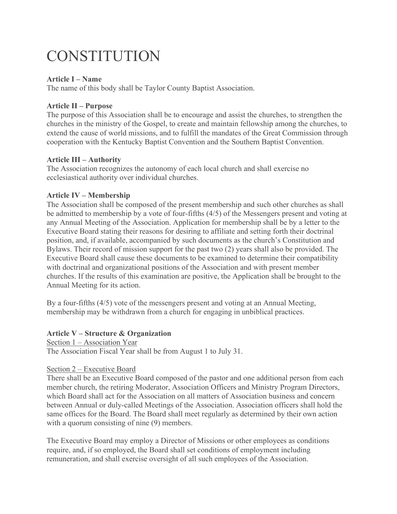# CONSTITUTION

# **Article I – Name**

The name of this body shall be Taylor County Baptist Association.

# **Article II – Purpose**

The purpose of this Association shall be to encourage and assist the churches, to strengthen the churches in the ministry of the Gospel, to create and maintain fellowship among the churches, to extend the cause of world missions, and to fulfill the mandates of the Great Commission through cooperation with the Kentucky Baptist Convention and the Southern Baptist Convention.

# **Article III – Authority**

The Association recognizes the autonomy of each local church and shall exercise no ecclesiastical authority over individual churches.

# **Article IV – Membership**

The Association shall be composed of the present membership and such other churches as shall be admitted to membership by a vote of four-fifths (4/5) of the Messengers present and voting at any Annual Meeting of the Association. Application for membership shall be by a letter to the Executive Board stating their reasons for desiring to affiliate and setting forth their doctrinal position, and, if available, accompanied by such documents as the church's Constitution and Bylaws. Their record of mission support for the past two (2) years shall also be provided. The Executive Board shall cause these documents to be examined to determine their compatibility with doctrinal and organizational positions of the Association and with present member churches. If the results of this examination are positive, the Application shall be brought to the Annual Meeting for its action.

By a four-fifths (4/5) vote of the messengers present and voting at an Annual Meeting, membership may be withdrawn from a church for engaging in unbiblical practices.

# **Article V – Structure & Organization**

## Section 1 – Association Year

The Association Fiscal Year shall be from August 1 to July 31.

## Section 2 – Executive Board

There shall be an Executive Board composed of the pastor and one additional person from each member church, the retiring Moderator, Association Officers and Ministry Program Directors, which Board shall act for the Association on all matters of Association business and concern between Annual or duly-called Meetings of the Association. Association officers shall hold the same offices for the Board. The Board shall meet regularly as determined by their own action with a quorum consisting of nine (9) members.

The Executive Board may employ a Director of Missions or other employees as conditions require, and, if so employed, the Board shall set conditions of employment including remuneration, and shall exercise oversight of all such employees of the Association.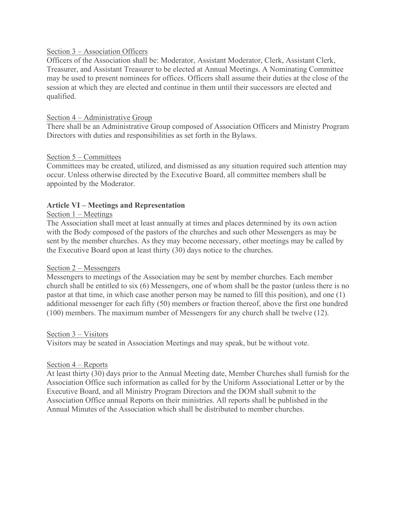# Section 3 – Association Officers

Officers of the Association shall be: Moderator, Assistant Moderator, Clerk, Assistant Clerk, Treasurer, and Assistant Treasurer to be elected at Annual Meetings. A Nominating Committee may be used to present nominees for offices. Officers shall assume their duties at the close of the session at which they are elected and continue in them until their successors are elected and qualified.

## Section 4 – Administrative Group

There shall be an Administrative Group composed of Association Officers and Ministry Program Directors with duties and responsibilities as set forth in the Bylaws.

## Section 5 – Committees

Committees may be created, utilized, and dismissed as any situation required such attention may occur. Unless otherwise directed by the Executive Board, all committee members shall be appointed by the Moderator.

## **Article VI – Meetings and Representation**

## Section 1 – Meetings

The Association shall meet at least annually at times and places determined by its own action with the Body composed of the pastors of the churches and such other Messengers as may be sent by the member churches. As they may become necessary, other meetings may be called by the Executive Board upon at least thirty (30) days notice to the churches.

## Section 2 – Messengers

Messengers to meetings of the Association may be sent by member churches. Each member church shall be entitled to six (6) Messengers, one of whom shall be the pastor (unless there is no pastor at that time, in which case another person may be named to fill this position), and one (1) additional messenger for each fifty (50) members or fraction thereof, above the first one hundred (100) members. The maximum number of Messengers for any church shall be twelve (12).

## Section 3 – Visitors

Visitors may be seated in Association Meetings and may speak, but be without vote.

## Section 4 – Reports

At least thirty (30) days prior to the Annual Meeting date, Member Churches shall furnish for the Association Office such information as called for by the Uniform Associational Letter or by the Executive Board, and all Ministry Program Directors and the DOM shall submit to the Association Office annual Reports on their ministries. All reports shall be published in the Annual Minutes of the Association which shall be distributed to member churches.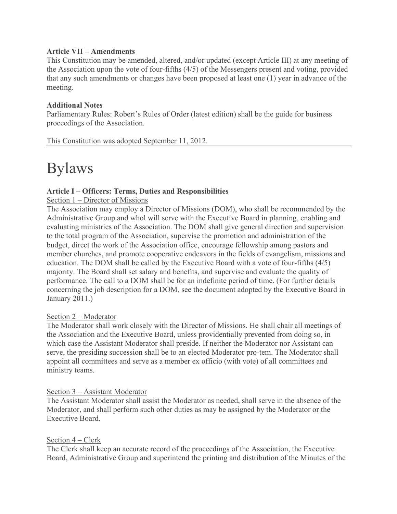# **Article VII – Amendments**

This Constitution may be amended, altered, and/or updated (except Article III) at any meeting of the Association upon the vote of four-fifths (4/5) of the Messengers present and voting, provided that any such amendments or changes have been proposed at least one (1) year in advance of the meeting.

# **Additional Notes**

Parliamentary Rules: Robert's Rules of Order (latest edition) shall be the guide for business proceedings of the Association.

This Constitution was adopted September 11, 2012.

# Bylaws

# **Article I – Officers: Terms, Duties and Responsibilities**

Section 1 – Director of Missions

The Association may employ a Director of Missions (DOM), who shall be recommended by the Administrative Group and whol will serve with the Executive Board in planning, enabling and evaluating ministries of the Association. The DOM shall give general direction and supervision to the total program of the Association, supervise the promotion and administration of the budget, direct the work of the Association office, encourage fellowship among pastors and member churches, and promote cooperative endeavors in the fields of evangelism, missions and education. The DOM shall be called by the Executive Board with a vote of four-fifths (4/5) majority. The Board shall set salary and benefits, and supervise and evaluate the quality of performance. The call to a DOM shall be for an indefinite period of time. (For further details concerning the job description for a DOM, see the document adopted by the Executive Board in January 2011.)

## Section 2 – Moderator

The Moderator shall work closely with the Director of Missions. He shall chair all meetings of the Association and the Executive Board, unless providentially prevented from doing so, in which case the Assistant Moderator shall preside. If neither the Moderator nor Assistant can serve, the presiding succession shall be to an elected Moderator pro-tem. The Moderator shall appoint all committees and serve as a member ex officio (with vote) of all committees and ministry teams.

## Section 3 – Assistant Moderator

The Assistant Moderator shall assist the Moderator as needed, shall serve in the absence of the Moderator, and shall perform such other duties as may be assigned by the Moderator or the Executive Board.

# Section 4 – Clerk

The Clerk shall keep an accurate record of the proceedings of the Association, the Executive Board, Administrative Group and superintend the printing and distribution of the Minutes of the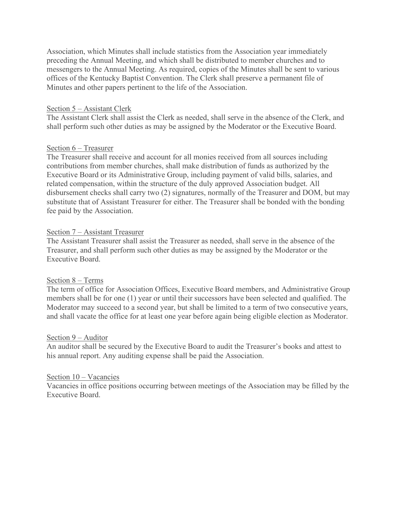Association, which Minutes shall include statistics from the Association year immediately preceding the Annual Meeting, and which shall be distributed to member churches and to messengers to the Annual Meeting. As required, copies of the Minutes shall be sent to various offices of the Kentucky Baptist Convention. The Clerk shall preserve a permanent file of Minutes and other papers pertinent to the life of the Association.

## Section 5 – Assistant Clerk

The Assistant Clerk shall assist the Clerk as needed, shall serve in the absence of the Clerk, and shall perform such other duties as may be assigned by the Moderator or the Executive Board.

## Section 6 – Treasurer

The Treasurer shall receive and account for all monies received from all sources including contributions from member churches, shall make distribution of funds as authorized by the Executive Board or its Administrative Group, including payment of valid bills, salaries, and related compensation, within the structure of the duly approved Association budget. All disbursement checks shall carry two (2) signatures, normally of the Treasurer and DOM, but may substitute that of Assistant Treasurer for either. The Treasurer shall be bonded with the bonding fee paid by the Association.

## Section 7 – Assistant Treasurer

The Assistant Treasurer shall assist the Treasurer as needed, shall serve in the absence of the Treasurer, and shall perform such other duties as may be assigned by the Moderator or the Executive Board.

## Section 8 – Terms

The term of office for Association Offices, Executive Board members, and Administrative Group members shall be for one (1) year or until their successors have been selected and qualified. The Moderator may succeed to a second year, but shall be limited to a term of two consecutive years, and shall vacate the office for at least one year before again being eligible election as Moderator.

## Section 9 – Auditor

An auditor shall be secured by the Executive Board to audit the Treasurer's books and attest to his annual report. Any auditing expense shall be paid the Association.

## Section 10 – Vacancies

Vacancies in office positions occurring between meetings of the Association may be filled by the Executive Board.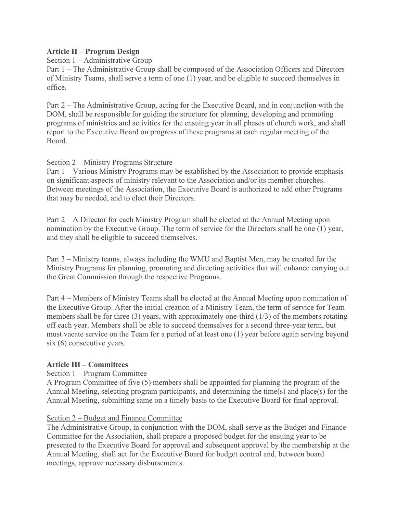# **Article II – Program Design**

Section 1 – Administrative Group

Part 1 – The Administrative Group shall be composed of the Association Officers and Directors of Ministry Teams, shall serve a term of one (1) year, and be eligible to succeed themselves in office.

Part 2 – The Administrative Group, acting for the Executive Board, and in conjunction with the DOM, shall be responsible for guiding the structure for planning, developing and promoting programs of ministries and activities for the ensuing year in all phases of church work, and shall report to the Executive Board on progress of these programs at each regular meeting of the Board.

# Section 2 – Ministry Programs Structure

Part 1 – Various Ministry Programs may be established by the Association to provide emphasis on significant aspects of ministry relevant to the Association and/or its member churches. Between meetings of the Association, the Executive Board is authorized to add other Programs that may be needed, and to elect their Directors.

Part 2 – A Director for each Ministry Program shall be elected at the Annual Meeting upon nomination by the Executive Group. The term of service for the Directors shall be one (1) year, and they shall be eligible to succeed themselves.

Part 3 – Ministry teams, always including the WMU and Baptist Men, may be created for the Ministry Programs for planning, promoting and directing activities that will enhance carrying out the Great Commission through the respective Programs.

Part 4 – Members of Ministry Teams shall be elected at the Annual Meeting upon nomination of the Executive Group. After the initial creation of a Ministry Team, the term of service for Team members shall be for three (3) years, with approximately one-third (1/3) of the members rotating off each year. Members shall be able to succeed themselves for a second three-year term, but must vacate service on the Team for a period of at least one (1) year before again serving beyond six (6) consecutive years.

# **Article III – Committees**

## Section 1 – Program Committee

A Program Committee of five (5) members shall be appointed for planning the program of the Annual Meeting, selecting program participants, and determining the time(s) and place(s) for the Annual Meeting, submitting same on a timely basis to the Executive Board for final approval.

# Section 2 – Budget and Finance Committee

The Administrative Group, in conjunction with the DOM, shall serve as the Budget and Finance Committee for the Association, shall prepare a proposed budget for the ensuing year to be presented to the Executive Board for approval and subsequent approval by the membership at the Annual Meeting, shall act for the Executive Board for budget control and, between board meetings, approve necessary disbursements.